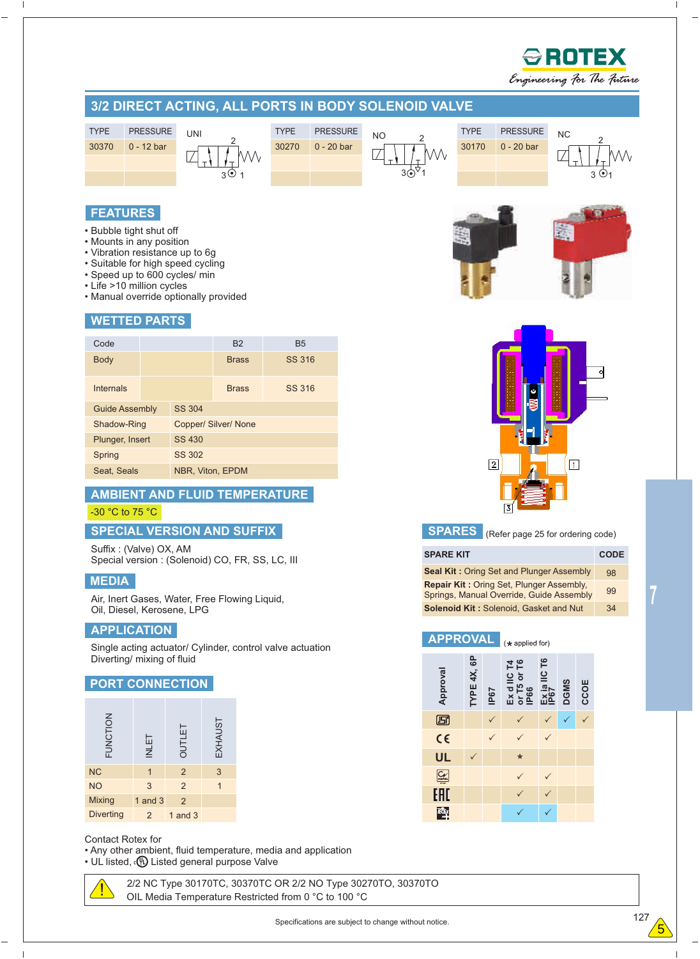

#### **APPLICATION**

Single acting actuator/ Cylinder, control valve actuation Diverting/ mixing of fluid

## **PORT CONNECTION**

| FUNCTION         | <b>INLET</b> | OUTLET         | EXHAUST |
|------------------|--------------|----------------|---------|
| <b>NC</b>        |              | $\overline{2}$ | 3       |
| <b>NO</b>        | 3            | $\overline{2}$ |         |
| <b>Mixing</b>    | 1 and $3$    | $\overline{2}$ |         |
| <b>Diverting</b> | 2            | 1 and $3$      |         |

#### Contact Rotex for

• Any other ambient, fluid temperature, media and application  $\cdot$  UL listed,  $\cdot$ <sup>(0</sup>) Listed general purpose Valve

> OIL Media Temperature Restricted from 0 °C to 100 °C 2/2 NC Type 30170TC, 30370TC OR 2/2 NO Type 30270TO, 30370TO

127 Specifications are subject to change without notice.

**UL**

 $C_V$ EAD **IECE**X

**Approval**

回  $C \in$  **TYPE 4X, 6P**

**APPROVAL**

**IP67**

 $\checkmark$  and  $\checkmark$  and  $\checkmark$ 

**Ex d IIC T4 or T5 or T6 IP66**

 $\checkmark$  $\checkmark$ 

\*

**Ex ia IIC IP67**

**DGMSCCOE**

 $\checkmark$   $\checkmark$   $\checkmark$  $\sqrt{2}$ 

 $\sqrt{2}$ 

 $\checkmark$  and  $\checkmark$  and  $\checkmark$  $\sqrt{2}$ 

 $\checkmark$ 

**T6**

 $(*$  applied for)

 $\checkmark$  $\checkmark$ 

 $\checkmark$  $\checkmark$ 

 $\checkmark$  and  $\checkmark$  and  $\checkmark$  and  $\checkmark$  and  $\checkmark$  and  $\checkmark$  and  $\checkmark$  and  $\checkmark$  and  $\checkmark$  and  $\checkmark$  and  $\checkmark$  and  $\checkmark$  and  $\checkmark$  and  $\checkmark$  and  $\checkmark$  and  $\checkmark$  and  $\checkmark$  and  $\checkmark$  and  $\checkmark$  and  $\checkmark$  and  $\checkmark$  and  $\checkmark$  and

l,